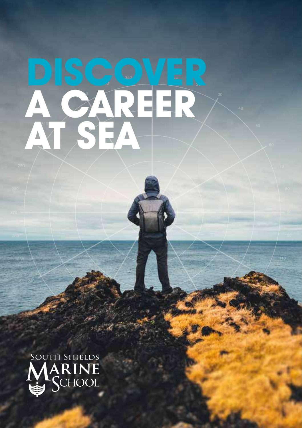# **A CAREER AT SEA DISCOVER**

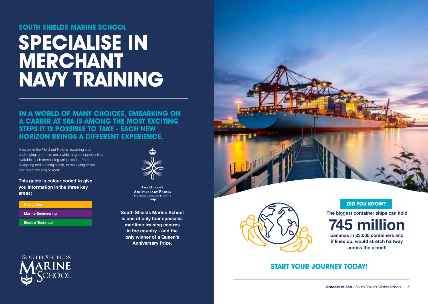### **SOUTH SHIELDS MARINE SCHOOL**

# **SPECIALISE IN MERCHANT NAVY TRAINING**

**IN A WORLD OF MANY CHOICES, EMBARKING ON A CAREER AT SEA IS AMONG THE MOST EXCITING STEPS IT IS POSSIBLE TO TAKE - EACH NEW HORIZON BRINGS A DIFFERENT EXPERIENCE.** 

A career in the Merchant Navy is rewarding and challenging, and there are a wide range of opportunities available, each demanding unique skills - from navigating and steering a ship, to managing critical controls in the engine room.

**This guide is colour coded to give you information in the three key areas:**

| <b>Navigation</b>         |  |
|---------------------------|--|
|                           |  |
| <b>Marine Engineering</b> |  |
|                           |  |
| <b>Electro-Technical</b>  |  |
|                           |  |





THE OUEEN'S **ANNIVERSARY PRIZES** FOR HIGHER AND FURTHER EDUCATION 2010

**South Shields Marine School is one of only four specialist maritime training centres in the country - and the only winner of a Queen's Anniversary Prize.**





**The biggest container ships can hold** 

**bananas in 23,000 containers and if lined up, would stretch halfway across the planet! 745 million**

### **START YOUR JOURNEY TODAY!**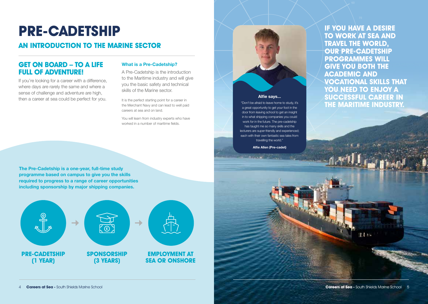## **PRE-CADETSHIP**

### **AN INTRODUCTION TO THE MARINE SECTOR**

### **GET ON BOARD – TO A LIFE FULL OF ADVENTURE!**

If you're looking for a career with a difference, where days are rarely the same and where a sense of challenge and adventure are high, then a career at sea could be perfect for you.

#### **What is a Pre-Cadetship?**

A Pre-Cadetship is the introduction to the Maritime industry and will give you the basic safety and technical skills of the Marine sector.

It is the perfect starting point for a career in the Merchant Navy and can lead to well paid careers at sea and on land.

You will learn from industry experts who have worked in a number of maritime fields.



#### **Alfie says...**

"Don't be afraid to leave home to study, it's a great opportunity to get your foot in the door from leaving school to get an insight in to what shipping companies you could work for in the future. The pre-cadetship has taught me so many skills and the lecturers are super-friendly and experienced; each with their own fantastic sea tales from travelling the world."

**Alfie Allen (Pre-cadet)**

**IF YOU HAVE A DESIRE TO WORK AT SEA AND TRAVEL THE WORLD, OUR PRE-CADETSHIP PROGRAMMES WILL GIVE YOU BOTH THE ACADEMIC AND VOCATIONAL SKILLS THAT YOU NEED TO ENJOY A SUCCESSFUL CAREER IN THE MARITIME INDUSTRY.** 

**The Pre-Cadetship is a one-year, full-time study programme based on campus to give you the skills required to progress to a range of career opportunities including sponsorship by major shipping companies.** 



 $114$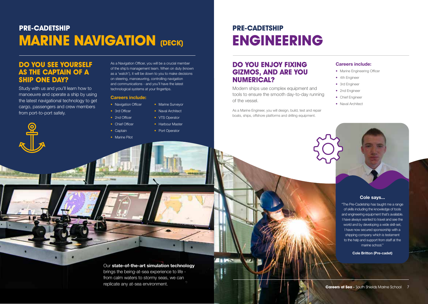## **PRE-CADETSHIP MARINE NAVIGATION (DECK)**

### **DO YOU SEE YOURSELF AS THE CAPTAIN OF A SHIP ONE DAY?**

Study with us and you'll learn how to manoeuvre and operate a ship by using the latest navigational technology to get cargo, passengers and crew members from port-to-port safely.



#### **Careers include:**

- Navigation Officer
- 3rd Officer • Naval Architect
- 2nd Officer
- Chief Officer
	- Harbour Master
		- Port Operator

• Marine Surveyor

• VTS Operator

• Captain • Marine Pilot

## **PRE-CADETSHIP ENGINEERING**

### **DO YOU ENJOY FIXING GIZMOS, AND ARE YOU NUMERICAL?**

Modern ships use complex equipment and tools to ensure the smooth day-to-day running of the vessel.

As a Marine Engineer, you will design, build, test and repair boats, ships, offshore platforms and drilling equipment.

#### **Careers include:**

- Marine Engineering Officer
- 4th Engineer
- 3rd Engineer
- 2nd Engineer
- Chief Engineer
- Naval Architect



#### **Cole says...**

"The Pre-Cadetship has taught me a range of skills including the knowledge of tools and engineering equipment that's available. I have always wanted to travel and see the world and by developing a wide skill-set, I have now secured sponsorship with a shipping company which is testament to the help and support from staff at the marine school."

**Cole Britton (Pre-cadet)**

### Our **state-of-the-art simulation technology** brings the being-at-sea experience to life from calm waters to stormy seas, we can

**ALDES** 

Ą

replicate any at-sea environment.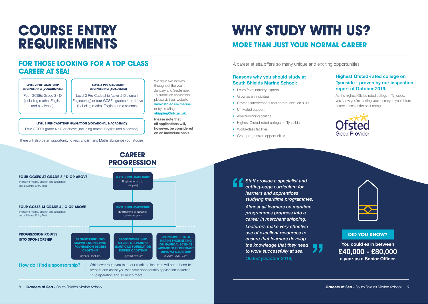## **COURSE ENTRY REQUIREMENTS**

### **FOR THOSE LOOKING FOR A TOP CLASS CAREER AT SEA!**

#### **LEVEL 2 PRE-CADETSHIP ENGINEERING (VOCATIONAL)** Four GCSEs Grade 3 / D

(including maths, English and a science).

**LEVEL 3 PRE-CADETSHIP ENGINEERING (ACADEMIC)**

Level 2 Pre-Cadetship (Level 2 Diploma in Engineering) or four GCSEs grades 4 or above (including maths, English and a science).

#### **LEVEL 3 PRE-CADETSHIP NAVIGATION (VOCATIONAL & ACADEMIC)**

Four GCSEs grade 4 / C or above (including maths, English and a science).

There will also be an opportunity to resit English and Maths alongside your studies.

#### We have two intakes throughout the year in January and September. To submit an application, please visit our website **www.stc.ac.uk/marine** or by emailing **shipping@stc.ac.uk. Please note that all applications will,**

**however, be considered on an individual basis.**

## **WHY STUDY WITH US?**

### **MORE THAN JUST YOUR NORMAL CAREER**

A career at sea offers so many unique and exciting opportunities.

#### **Reasons why you should study at South Shields Marine School:**

- Learn from industry experts
- Grow as an individual
- Develop interpersonal and communication skills
- Unrivalled support
- Award-winning college
- Highest Ofsted-rated college on Tyneside
- World-class facilities
- Great progression opportunities

#### **Highest Ofsted-rated college on Tyneside - proven by our inspection report of October 2019.**

As the highest Ofsted rated college in Tyneside, you know you're starting your journey to your future career at sea at the best college.



**CAREER PROGRESSION FOUR GCSES AT GRADE 4 / C OR ABOVE**  (including maths, English and a science) and a Marine Entry Test **LEVEL 3 PRE-CADETSHIP** (Engineering or Nautical up to one year) **FOUR GCSES AT GRADE 3 / D OR ABOVE** (including maths, English and a science) and a Marine Entry Test **LEVEL 2 PRE-CADETSHIP** (Engineering up to one year) **PROGRESSION ROUTES INTO SPONSORSHIP SPONSORSHIP INTO MARINE ENGINEERING FOUNDATION DEGREE CADETSHIP** 3 years Level 4/5 **SPONSORSHIP INTO MARINE OPERATIONS (NAUTICAL) FOUNDATION DEGREE CADETSHIP** 3 years Level 4/5 **SPONSORSHIP INTO MARINE ENGINEERING OR NAUTICAL SCIENCE ADVANCED CERTIFICATE DIPLOMA CADETSHIP** 3 years Level 3/4/5 Whichever route you take, our maritime lecturers will be on hand to **How do I find a sponsorship?** 

CV preparation and so much more!

prepare and assist you with your sponsorship application including

*Staff provide a specialist and cutting-edge curriculum for learners and apprentices studying maritime programmes. Almost all learners on maritime programmes progress into a career in merchant shipping. Lecturers make very effective use of excellent resources to ensure that learners develop the knowledge that they need to work successfully at sea.*





**DID YOU KNOW?**

**You could earn between £40,000 - £80,000 a year as a Senior Officer.**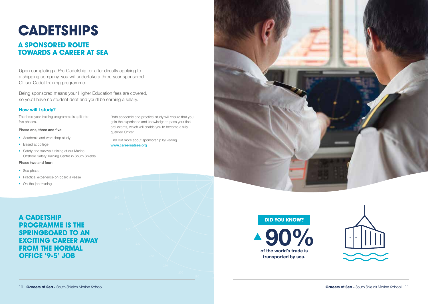## **CADETSHIPS**

## **A SPONSORED ROUTE TOWARDS A CAREER AT SEA**

Upon completing a Pre-Cadetship, or after directly applying to a shipping company, you will undertake a three-year sponsored Officer Cadet training programme.

Being sponsored means your Higher Education fees are covered, so you'll have no student debt and you'll be earning a salary.

#### **How will I study?**

The three-year training programme is split into five phases.

#### **Phase one, three and five:**

- Academic and workshop study
- Based at college
- Safety and survival training at our Marine Offshore Safety Training Centre in South Shields

#### **Phase two and four:**

- Sea phase
- Practical experience on board a vessel
- On-the-job training

### **A CADETSHIP PROGRAMME IS THE SPRINGBOARD TO AN EXCITING CAREER AWAY FROM THE NORMAL OFFICE '9-5' JOB**

Both academic and practical study will ensure that you gain the experience and knowledge to pass your final oral exams, which will enable you to become a fully qualified Officer.

Find out more about sponsorship by visiting **www.careersatsea.org**



#### **DID YOU KNOW?**



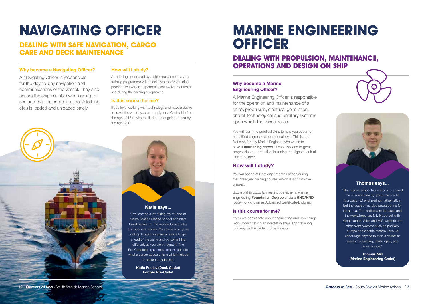## **NAVIGATING OFFICER**

**DEALING WITH SAFE NAVIGATION, CARGO CARE AND DECK MAINTENANCE**

#### **Why become a Navigating Officer?**

A Navigating Officer is responsible for the day-to-day navigation and communications of the vessel. They also ensure the ship is stable when going to sea and that the cargo (i.e. food/clothing etc.) is loaded and unloaded safely.

#### **How will I study?**

After being sponsored by a shipping company, your training programme will be split into the five training phases. You will also spend at least twelve months at sea during the training programme.

#### **Is this course for me?**

If you love working with technology and have a desire to travel the world, you can apply for a Cadetship from the age of 16+, with the likelihood of going to sea by the age of 18.

#### **Katie says...**

"I've learned a lot during my studies at South Shields Marine School and have loved hearing all the wonderful sea tales and success stories. My advice to anyone looking to start a career at sea is to get ahead of the game and do something different, as you won't regret it. The Pre-Cadetship gave me a real insight into what a career at sea entails which helped me secure a cadetship."

> **Katie Pooley (Deck Cadet) Former Pre-Cadet**

## **MARINE ENGINEERING OFFICER**

### **DEALING WITH PROPULSION, MAINTENANCE, OPERATIONS AND DESIGN ON SHIP**

#### **Why become a Marine Engineering Officer?**

A Marine Engineering Officer is responsible for the operation and maintenance of a ship's propulsion, electrical generation, and all technological and ancillary systems upon which the vessel relies.

You will learn the practical skills to help you become a qualified engineer at operational level. This is the first step for any Marine Engineer who wants to have a **flourishing career**. It can also lead to great progression opportunities, including the highest rank of Chief Engineer.

#### **How will I study?**

You will spend at least eight months at sea during the three-year training course, which is split into five phases.

Sponsorship opportunities include either a Marine Engineering **Foundation Degree** or via a **HNC/HND** route (now known as Advanced Certificate/Diploma).

#### **Is this course for me?**

If you are passionate about engineering and how things work, whilst having an interest in ships and travelling, this may be the perfect route for you.



#### **Thomas says...**

"The marine school has not only prepared me academically by giving me a solid foundation of engineering mathematics, but the course has also prepared me for life at sea. The facilities are fantastic and the workshops are fully kitted out with Metal Lathes, Stick and MIG welders and other plant systems such as purifiers, pumps and electric motors. I would encourage anyone to start a career at sea as it's exciting, challenging, and adventurous."

**Thomas Mill (Marine Engineering Cadet)**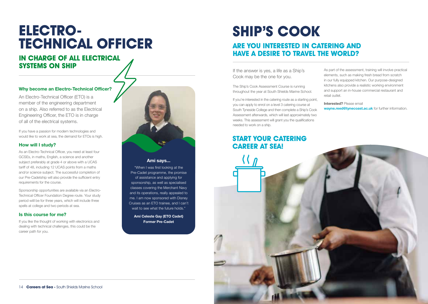## **ELECTRO-TECHNICAL OFFICER**

### **IN CHARGE OF ALL ELECTRICAL SYSTEMS ON SHIP**

#### **Why become an Electro-Technical Officer?**

An Electro-Technical Officer (ETO) is a member of the engineering department on a ship. Also referred to as the Electrical Engineering Officer, the ETO is in charge of all of the electrical systems.

If you have a passion for modern technologies and would like to work at sea, the demand for ETOs is high.

#### **How will I study?**

As an Electro-Technical Officer, you need at least four GCSEs, in maths, English, a science and another subject preferably at grade 4 or above with a UCAS tariff of 48, including 12 UCAS points from a maths and/or science subject. The successful completion of our Pre-Cadetship will also provide the sufficient entry requirements for the course.

Sponsorship opportunities are available via an Electro-Technical Officer Foundation Degree route. Your study period wiill be for three years, which will include three spells at college and two periods at sea.

#### **Is this course for me?**

If you like the thought of working with electronics and dealing with technical challenges, this could be the career path for you.



#### **Ami says...**

"When I was first looking at the Pre-Cadet programme, the promise of assistance and applying for sponsorship, as well as specialised classes covering the Merchant Navy and its operations, really appealed to me. I am now sponsored with Disney Cruises as an ETO trainee, and I can't wait to see what the future holds."

**Ami Celeste Gay (ETO Cadet) Former Pre-Cadet**

## **SHIP'S COOK**

### **ARE YOU INTERESTED IN CATERING AND HAVE A DESIRE TO TRAVEL THE WORLD?**

If the answer is yes, a life as a Ship's Cook may be the one for you.

The Ship's Cook Assessment Course is running throughout the year at South Shields Marine School.

If you're interested in the catering route as a starting point, you can apply to enrol on a level 3 catering course at South Tyneside College and then complete a Ship's Cook Assessment afterwards, which will last approximately two weeks. This assessment will grant you the qualifications needed to work on a ship.

## **START YOUR CATERING**

As part of the assessment, training will involve practical elements, such as making fresh bread from scratch in our fully equipped kitchen. Our purpose-designed kitchens also provide a realistic working environment and support an in-house commercial restaurant and retail outlet.

**Interested?** Please email **wayne.reed@tynecoast.ac.uk** for further information.

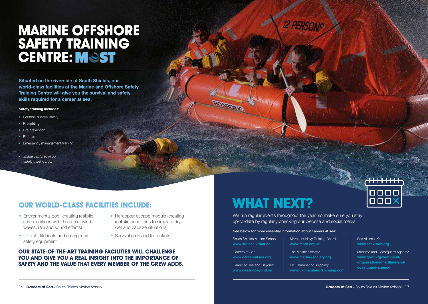## **MARINE OFFSHORE SAFETY TRAINING CENTRE: MOST**

**Situated on the riverside at South Shields, our world-class facilities at the Marine and Offshore Safety Training Centre will give you the survival and safety skills required for a career at sea.** 

#### **Safety training includes:**

- Personal survival safety
- Firefighting
- Fire prevention
- First-aid
- Emergency management training
- *Image captured in our safety training pool*

## **OUR WORLD-CLASS FACILITIES INCLUDE:**

- Environmental pool (creating realistic sea conditions with the use of wind, waves, rain and sound effects)
- Life raft, lifeboats and emergency safety equipment
- Helicopter escape module (creating realistic conditions to simulate dry, wet and capsize situations)
- Survival suits and life jackets

#### **OUR STATE-OF-THE-ART TRAINING FACILITIES WILL CHALLENGE YOU AND GIVE YOU A REAL INSIGHT INTO THE IMPORTANCE OF SAFETY AND THE VALUE THAT EVERY MEMBER OF THE CREW ADDS.**

## **WHAT NEXT?**

We run regular events throughout the year, so make sure you stay up-to-date by regularly checking our website and social media.

**12 PERSONS** 

#### See below for more essential information about careers at sea:

South Shields Marine School: **www.stc.ac.uk/marine** Careers at Sea:

**BONBON** 

**www.careersatsea.org**

Career at Sea and Beyond: **www.casandbeyond.org** Merchant Navy Training Board: **www.mntb.org.uk**

The Marine Society: **www.marine-society.org** 

UK Chamber of Shipping: **www.ukchamberofshipping.com** 

## oooo 000

Maritime and Coastguard Agency: **www.gov.uk/government/ organisations/maritime-andcoastguard-agency**

Sea Vision UK: **www.seavision.org**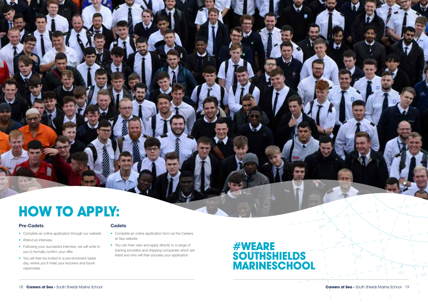## **HOW TO APPLY:**

#### **Pre-Cadets Cadets**

- Complete an online application through our website
- Attend an interview
- Following your successful interview, we will write to you to formally confirm your offer
- You will then be invited to a pre-enrolment taster day, where you'll meet your lecturers and future classmates

- Complete an online application form via the Careers at Sea website
- You can then view and apply directly to a range of training providers and shipping companies which are listed and who will then process your application

## **#WEARE SOUTHSHIELDS MARINESCHOOL**